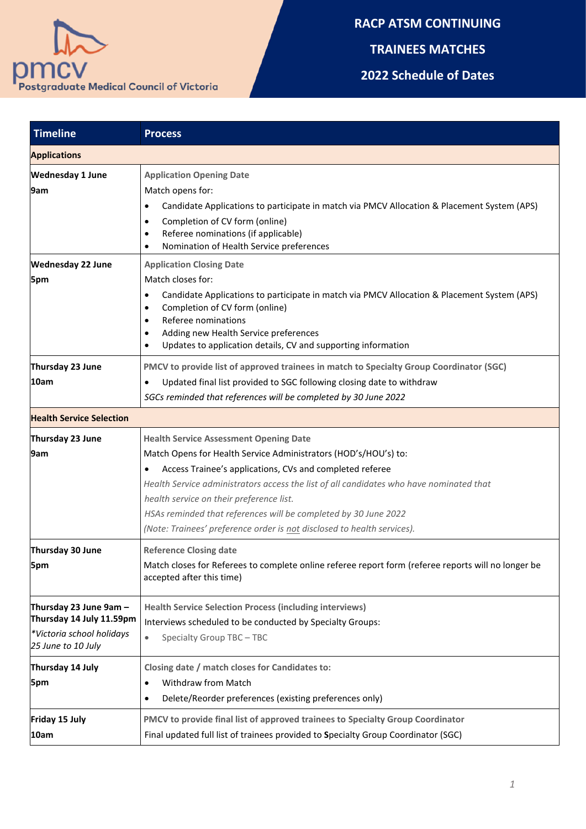

## **RACP ATSM CONTINUING**

**TRAINEES MATCHES**

**2022 Schedule of Dates**

| <b>Timeline</b>                                                                                       | <b>Process</b>                                                                                                                                                                                                                                                                                                                                                                                                                                                         |
|-------------------------------------------------------------------------------------------------------|------------------------------------------------------------------------------------------------------------------------------------------------------------------------------------------------------------------------------------------------------------------------------------------------------------------------------------------------------------------------------------------------------------------------------------------------------------------------|
| <b>Applications</b>                                                                                   |                                                                                                                                                                                                                                                                                                                                                                                                                                                                        |
| <b>Wednesday 1 June</b><br>9am<br><b>Wednesday 22 June</b>                                            | <b>Application Opening Date</b><br>Match opens for:<br>Candidate Applications to participate in match via PMCV Allocation & Placement System (APS)<br>$\bullet$<br>Completion of CV form (online)<br>٠<br>Referee nominations (if applicable)<br>Nomination of Health Service preferences<br><b>Application Closing Date</b>                                                                                                                                           |
| 5pm                                                                                                   | Match closes for:<br>Candidate Applications to participate in match via PMCV Allocation & Placement System (APS)<br>٠<br>Completion of CV form (online)<br>Referee nominations<br>Adding new Health Service preferences<br>Updates to application details, CV and supporting information                                                                                                                                                                               |
| Thursday 23 June<br>10am                                                                              | PMCV to provide list of approved trainees in match to Specialty Group Coordinator (SGC)<br>Updated final list provided to SGC following closing date to withdraw<br>SGCs reminded that references will be completed by 30 June 2022                                                                                                                                                                                                                                    |
| <b>Health Service Selection</b>                                                                       |                                                                                                                                                                                                                                                                                                                                                                                                                                                                        |
| Thursday 23 June<br>9am                                                                               | <b>Health Service Assessment Opening Date</b><br>Match Opens for Health Service Administrators (HOD's/HOU's) to:<br>Access Trainee's applications, CVs and completed referee<br>٠<br>Health Service administrators access the list of all candidates who have nominated that<br>health service on their preference list.<br>HSAs reminded that references will be completed by 30 June 2022<br>(Note: Trainees' preference order is not disclosed to health services). |
| Thursday 30 June<br>5pm                                                                               | <b>Reference Closing date</b><br>Match closes for Referees to complete online referee report form (referee reports will no longer be<br>accepted after this time)                                                                                                                                                                                                                                                                                                      |
| Thursday 23 June 9am -<br>Thursday 14 July 11.59pm<br>*Victoria school holidays<br>25 June to 10 July | <b>Health Service Selection Process (including interviews)</b><br>Interviews scheduled to be conducted by Specialty Groups:<br>Specialty Group TBC - TBC<br>$\bullet$                                                                                                                                                                                                                                                                                                  |
| Thursday 14 July<br>5pm                                                                               | Closing date / match closes for Candidates to:<br>Withdraw from Match<br>$\bullet$<br>Delete/Reorder preferences (existing preferences only)                                                                                                                                                                                                                                                                                                                           |
| Friday 15 July<br>10am                                                                                | PMCV to provide final list of approved trainees to Specialty Group Coordinator<br>Final updated full list of trainees provided to Specialty Group Coordinator (SGC)                                                                                                                                                                                                                                                                                                    |